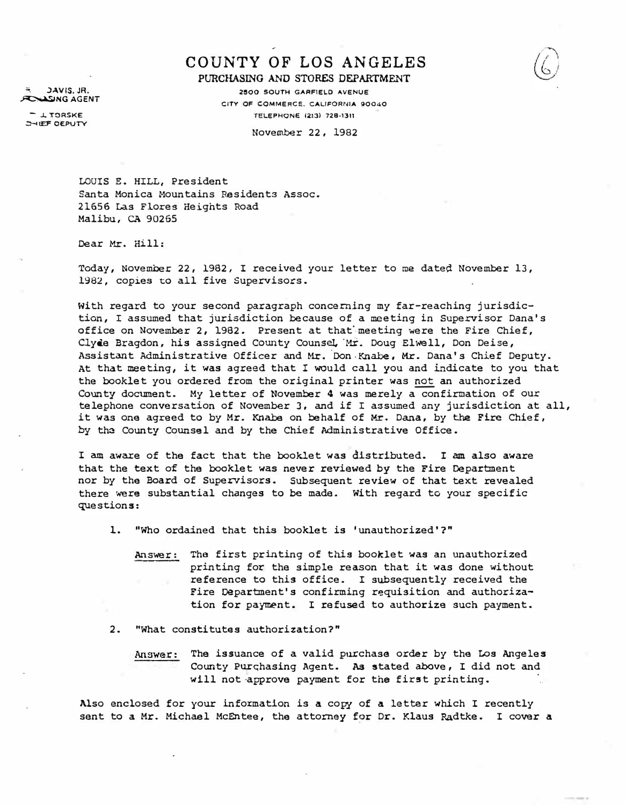**ASING AGENT** =-. .)AVIS. JA.

- J.. TORSKE **SHEE OEPUTY** 

## COUNTY OF LOS ANGELES PURCHASING AND STORES DEPARTMENT

2500 SOUTH GARFIELD AVENUE CITY OF COMMERCE. CALIFORNIA 90040 TELEPHONe 12l3) 728-1311

November 22, 1982

LOUIS E. HILL, President Santa Monica Mountains Residents Assoc. 21656 Las Flores Heights Road Malibu, CA 90265

Dear Mr. Hill:

Today, November 22, 1982, I received your letter to me dated November 13, 1982, copies to all five Supervisors.

With regard to your second paragraph concerning my far-reaching jurisdiction, I assumed that jurisdiction because of a meeting in Supervisor Dana's office on November 2, 1982. Present at that meeting were the Fire Chief, Clyde Bragdon, his assigned County Counsel, Mr. Doug Elwell, Don Deise, Assistant Administrative Officer and Mr. Don Knabe, Mr. Dana's Chief Deputy. At that meeting, it was agreed that I would call you and indicate to you that the booklet you ordered from the original printer was not an authorized County document. My letter of November 4 was merely a confirmation of our telephone conversation of November 3, and if I assumed any jurisdiction at all, it was one agreed to by Mr. Knabe on behalf of Mr. Dana, by the Fire Chief, by the County Counsel and by the Chief Administrative Office.

I am aware of the fact that the booklet was distributed. I am also aware that the text of the booklet was never reviewed by the Fire Department nor by the Board of Supervisors. Subsequent review of that text revealed there were substantial changes to be made. With regard to your specific questions:

l. "Who ordained that this booklet is 'unauthorized'?"

- Answer: The first printing of this booklet was an unauthorized printing for the simple reason that it was done without reference to this office. I subsequently received the Fire Department's confirming requisition and authorization for payment. I refused to authorize such payment.
- 2. ''What constitutes authorization?"
	- Answer: The issuance of a valid purchase order by the Los Angeles County Purchasing Agent. As stated above, I did not and will not approve payment for the first printing.

Also enclosed for your information is a copy of a letter which I recently sent to a Mr. Michael McEntee, the attorney for Dr. Klaus Radtke. I cover a